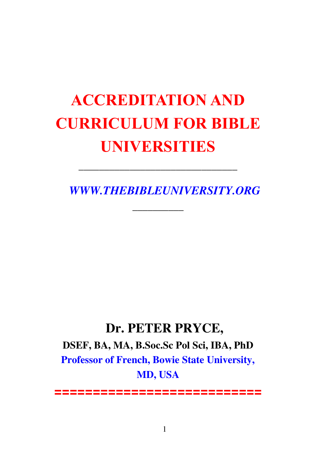# **ACCREDITATION AND CURRICULUM FOR BIBLE UNIVERSITIES**

\_\_\_\_\_\_\_\_\_\_\_\_\_\_\_\_\_\_\_\_\_\_\_\_\_\_\_\_\_\_\_

\_\_\_\_\_\_\_\_\_\_

*WWW.THEBIBLEUNIVERSITY.ORG* 

### **Dr. PETER PRYCE,**

**DSEF, BA, MA, B.Soc.Sc Pol Sci, IBA, PhD Professor of French, Bowie State University, MD, USA** 

**===========================**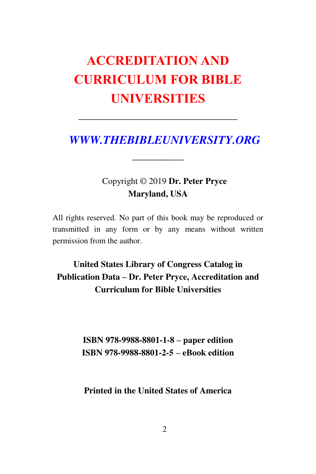## **ACCREDITATION AND CURRICULUM FOR BIBLE UNIVERSITIES**

\_\_\_\_\_\_\_\_\_\_\_\_\_\_\_\_\_\_\_\_\_\_\_\_\_\_\_\_\_\_\_

\_\_\_\_\_\_\_\_\_\_

*WWW.THEBIBLEUNIVERSITY.ORG* 

### Copyright © 2019 **Dr. Peter Pryce Maryland, USA**

All rights reserved. No part of this book may be reproduced or transmitted in any form or by any means without written permission from the author.

### **United States Library of Congress Catalog in Publication Data – Dr. Peter Pryce, Accreditation and Curriculum for Bible Universities**

**ISBN 978-9988-8801-1-8 – paper edition ISBN 978-9988-8801-2-5 – eBook edition** 

**Printed in the United States of America**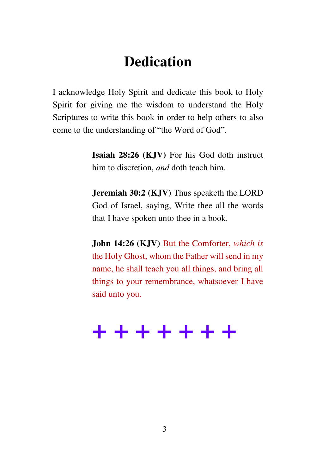## **Dedication**

I acknowledge Holy Spirit and dedicate this book to Holy Spirit for giving me the wisdom to understand the Holy Scriptures to write this book in order to help others to also come to the understanding of "the Word of God".

> **Isaiah 28:26 (KJV)** For his God doth instruct him to discretion, *and* doth teach him.

> **Jeremiah 30:2 (KJV)** Thus speaketh the LORD God of Israel, saying, Write thee all the words that I have spoken unto thee in a book.

> **John 14:26 (KJV)** But the Comforter, *which is* the Holy Ghost, whom the Father will send in my name, he shall teach you all things, and bring all things to your remembrance, whatsoever I have said unto you.

## **+ + + + + + +**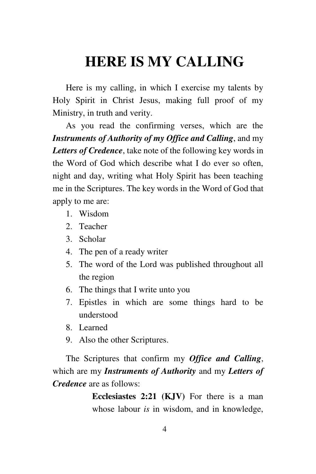## **HERE IS MY CALLING**

Here is my calling, in which I exercise my talents by Holy Spirit in Christ Jesus, making full proof of my Ministry, in truth and verity.

As you read the confirming verses, which are the *Instruments of Authority of my Office and Calling*, and my *Letters of Credence*, take note of the following key words in the Word of God which describe what I do ever so often, night and day, writing what Holy Spirit has been teaching me in the Scriptures. The key words in the Word of God that apply to me are:

- 1. Wisdom
- 2. Teacher
- 3. Scholar
- 4. The pen of a ready writer
- 5. The word of the Lord was published throughout all the region
- 6. The things that I write unto you
- 7. Epistles in which are some things hard to be understood
- 8. Learned
- 9. Also the other Scriptures.

The Scriptures that confirm my *Office and Calling*, which are my *Instruments of Authority* and my *Letters of Credence* are as follows:

> **Ecclesiastes 2:21 (KJV)** For there is a man whose labour *is* in wisdom, and in knowledge,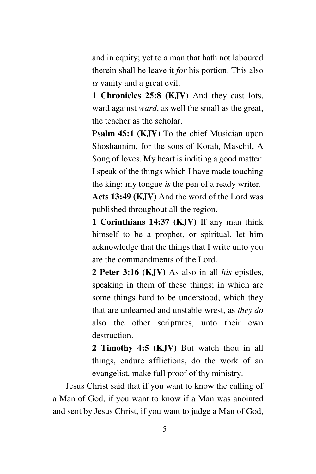and in equity; yet to a man that hath not laboured therein shall he leave it *for* his portion. This also *is* vanity and a great evil.

**1 Chronicles 25:8 (KJV)** And they cast lots, ward against *ward*, as well the small as the great, the teacher as the scholar.

**Psalm 45:1 (KJV)** To the chief Musician upon Shoshannim, for the sons of Korah, Maschil, A Song of loves. My heart is inditing a good matter: I speak of the things which I have made touching the king: my tongue *is* the pen of a ready writer.

**Acts 13:49 (KJV)** And the word of the Lord was published throughout all the region.

**1 Corinthians 14:37 (KJV)** If any man think himself to be a prophet, or spiritual, let him acknowledge that the things that I write unto you are the commandments of the Lord.

**2 Peter 3:16 (KJV)** As also in all *his* epistles, speaking in them of these things; in which are some things hard to be understood, which they that are unlearned and unstable wrest, as *they do* also the other scriptures, unto their own destruction.

**2 Timothy 4:5 (KJV)** But watch thou in all things, endure afflictions, do the work of an evangelist, make full proof of thy ministry.

Jesus Christ said that if you want to know the calling of a Man of God, if you want to know if a Man was anointed and sent by Jesus Christ, if you want to judge a Man of God,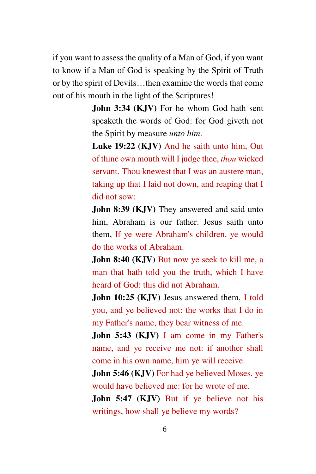if you want to assess the quality of a Man of God, if you want to know if a Man of God is speaking by the Spirit of Truth or by the spirit of Devils…then examine the words that come out of his mouth in the light of the Scriptures!

> **John 3:34 (KJV)** For he whom God hath sent speaketh the words of God: for God giveth not the Spirit by measure *unto him*.

> **Luke 19:22 (KJV)** And he saith unto him, Out of thine own mouth will I judge thee, *thou* wicked servant. Thou knewest that I was an austere man, taking up that I laid not down, and reaping that I did not sow:

> **John 8:39 (KJV)** They answered and said unto him, Abraham is our father. Jesus saith unto them, If ye were Abraham's children, ye would do the works of Abraham.

> **John 8:40 (KJV)** But now ye seek to kill me, a man that hath told you the truth, which I have heard of God: this did not Abraham.

> **John 10:25 (KJV)** Jesus answered them, I told you, and ye believed not: the works that I do in my Father's name, they bear witness of me.

> John 5:43 (KJV) I am come in my Father's name, and ye receive me not: if another shall come in his own name, him ye will receive.

> **John 5:46 (KJV)** For had ye believed Moses, ye would have believed me: for he wrote of me.

> **John 5:47 (KJV)** But if ye believe not his writings, how shall ye believe my words?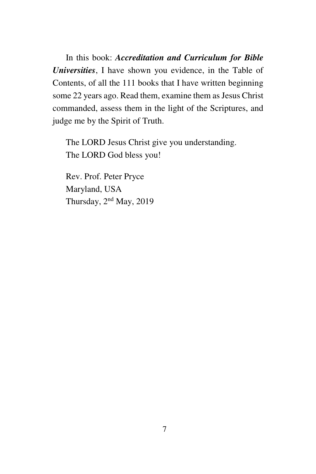In this book: *Accreditation and Curriculum for Bible Universities*, I have shown you evidence, in the Table of Contents, of all the 111 books that I have written beginning some 22 years ago. Read them, examine them as Jesus Christ commanded, assess them in the light of the Scriptures, and judge me by the Spirit of Truth.

The LORD Jesus Christ give you understanding. The LORD God bless you!

Rev. Prof. Peter Pryce Maryland, USA Thursday, 2nd May, 2019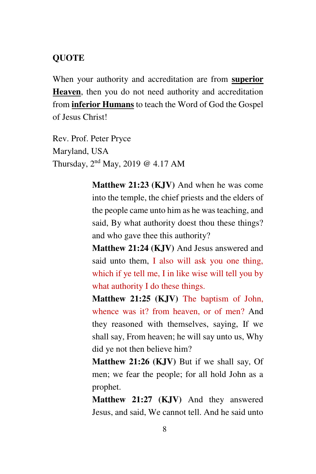#### **QUOTE**

When your authority and accreditation are from **superior Heaven**, then you do not need authority and accreditation from **inferior Humans** to teach the Word of God the Gospel of Jesus Christ!

Rev. Prof. Peter Pryce Maryland, USA Thursday, 2nd May, 2019 @ 4.17 AM

> **Matthew 21:23 (KJV)** And when he was come into the temple, the chief priests and the elders of the people came unto him as he was teaching, and said, By what authority doest thou these things? and who gave thee this authority?

> **Matthew 21:24 (KJV)** And Jesus answered and said unto them, I also will ask you one thing, which if ye tell me, I in like wise will tell you by what authority I do these things.

> **Matthew 21:25 (KJV)** The baptism of John, whence was it? from heaven, or of men? And they reasoned with themselves, saying, If we shall say, From heaven; he will say unto us, Why did ye not then believe him?

> **Matthew 21:26 (KJV)** But if we shall say, Of men; we fear the people; for all hold John as a prophet.

> **Matthew 21:27 (KJV)** And they answered Jesus, and said, We cannot tell. And he said unto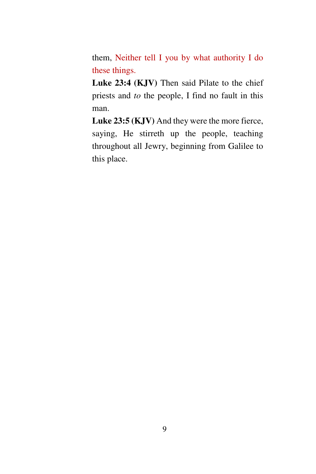them, Neither tell I you by what authority I do these things.

Luke 23:4 (KJV) Then said Pilate to the chief priests and *to* the people, I find no fault in this man.

**Luke 23:5 (KJV)** And they were the more fierce, saying, He stirreth up the people, teaching throughout all Jewry, beginning from Galilee to this place.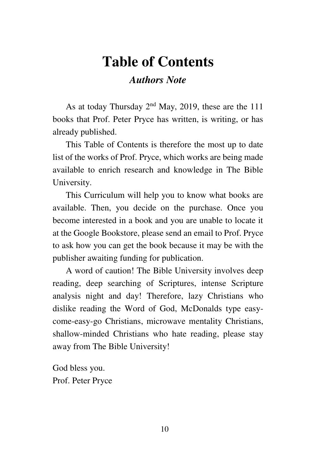## **Table of Contents**

#### *Authors Note*

As at today Thursday 2nd May, 2019, these are the 111 books that Prof. Peter Pryce has written, is writing, or has already published.

This Table of Contents is therefore the most up to date list of the works of Prof. Pryce, which works are being made available to enrich research and knowledge in The Bible University.

This Curriculum will help you to know what books are available. Then, you decide on the purchase. Once you become interested in a book and you are unable to locate it at the Google Bookstore, please send an email to Prof. Pryce to ask how you can get the book because it may be with the publisher awaiting funding for publication.

A word of caution! The Bible University involves deep reading, deep searching of Scriptures, intense Scripture analysis night and day! Therefore, lazy Christians who dislike reading the Word of God, McDonalds type easycome-easy-go Christians, microwave mentality Christians, shallow-minded Christians who hate reading, please stay away from The Bible University!

God bless you. Prof. Peter Pryce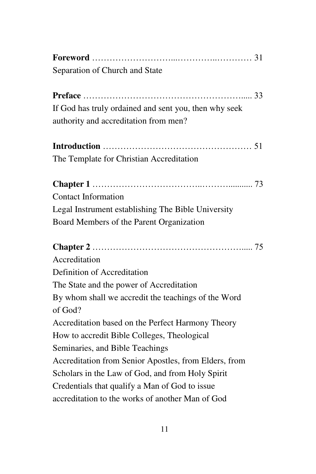| Separation of Church and State                        |
|-------------------------------------------------------|
|                                                       |
|                                                       |
| If God has truly ordained and sent you, then why seek |
| authority and accreditation from men?                 |
|                                                       |
|                                                       |
| The Template for Christian Accreditation              |
|                                                       |
| <b>Contact Information</b>                            |
| Legal Instrument establishing The Bible University    |
| Board Members of the Parent Organization              |
|                                                       |
|                                                       |
|                                                       |
| Accreditation                                         |
| Definition of Accreditation                           |
| The State and the power of Accreditation              |
| By whom shall we accredit the teachings of the Word   |
| of God?                                               |
| Accreditation based on the Perfect Harmony Theory     |
| How to accredit Bible Colleges, Theological           |
| Seminaries, and Bible Teachings                       |
| Accreditation from Senior Apostles, from Elders, from |
| Scholars in the Law of God, and from Holy Spirit      |
| Credentials that qualify a Man of God to issue        |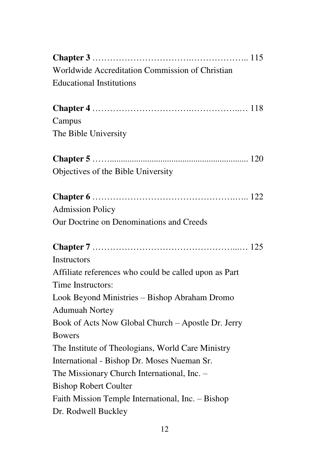| Worldwide Accreditation Commission of Christian       |
|-------------------------------------------------------|
| <b>Educational Institutions</b>                       |
|                                                       |
|                                                       |
| Campus                                                |
| The Bible University                                  |
|                                                       |
| Objectives of the Bible University                    |
|                                                       |
| <b>Admission Policy</b>                               |
| Our Doctrine on Denominations and Creeds              |
|                                                       |
|                                                       |
|                                                       |
| <b>Instructors</b>                                    |
| Affiliate references who could be called upon as Part |
| Time Instructors:                                     |
| Look Beyond Ministries - Bishop Abraham Dromo         |
| <b>Adumuah Nortey</b>                                 |
| Book of Acts Now Global Church - Apostle Dr. Jerry    |
| <b>Bowers</b>                                         |
| The Institute of Theologians, World Care Ministry     |
| International - Bishop Dr. Moses Nueman Sr.           |
| The Missionary Church International, Inc. -           |
| <b>Bishop Robert Coulter</b>                          |
| Faith Mission Temple International, Inc. - Bishop     |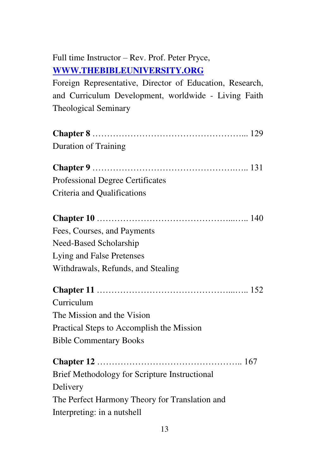### Full time Instructor – Rev. Prof. Peter Pryce, **[WWW.THEBIBLEUNIVERSITY.ORG](http://www.thebibleuniversity.org/)**

Foreign Representative, Director of Education, Research, and Curriculum Development, worldwide - Living Faith Theological Seminary

| <b>Duration of Training</b>                    |
|------------------------------------------------|
|                                                |
| Professional Degree Certificates               |
| Criteria and Qualifications                    |
|                                                |
| Fees, Courses, and Payments                    |
| Need-Based Scholarship                         |
| Lying and False Pretenses                      |
| Withdrawals, Refunds, and Stealing             |
|                                                |
| Curriculum                                     |
| The Mission and the Vision                     |
| Practical Steps to Accomplish the Mission      |
| <b>Bible Commentary Books</b>                  |
|                                                |
| Brief Methodology for Scripture Instructional  |
| Delivery                                       |
| The Perfect Harmony Theory for Translation and |
| Interpreting: in a nutshell                    |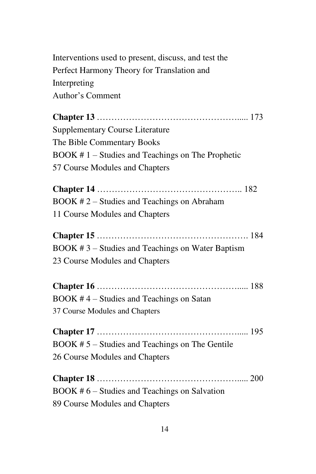Interventions used to present, discuss, and test the Perfect Harmony Theory for Translation and Interpreting Author's Comment

**Chapter 13** …………………………………………..... 173 Supplementary Course Literature The Bible Commentary Books BOOK # 1 – Studies and Teachings on The Prophetic 57 Course Modules and Chapters

**Chapter 14** ………………………………………….. 182 BOOK # 2 – Studies and Teachings on Abraham 11 Course Modules and Chapters

**Chapter 15** ……………………………………………. 184 BOOK # 3 – Studies and Teachings on Water Baptism 23 Course Modules and Chapters

**Chapter 16** …………………………………………..... 188 BOOK # 4 – Studies and Teachings on Satan 37 Course Modules and Chapters

**Chapter 17** …………………………………………..... 195 BOOK # 5 – Studies and Teachings on The Gentile 26 Course Modules and Chapters

**Chapter 18** …………………………………………..... 200 BOOK # 6 – Studies and Teachings on Salvation 89 Course Modules and Chapters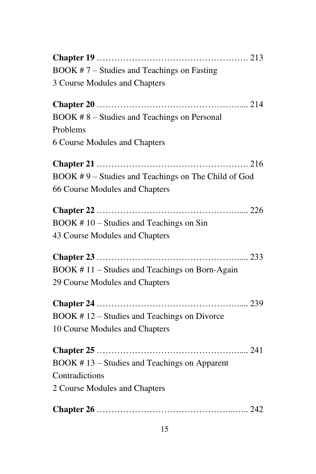| $BOOK # 7 - Studies and Teachers on Fasting$        |
|-----------------------------------------------------|
| 3 Course Modules and Chapters                       |
|                                                     |
| BOOK #8 – Studies and Teachings on Personal         |
| Problems                                            |
| <b>6 Course Modules and Chapters</b>                |
|                                                     |
| BOOK #9 - Studies and Teachings on The Child of God |
| 66 Course Modules and Chapters                      |
|                                                     |
| $BOOK # 10 - Studies and Teachings on Sin$          |
| 43 Course Modules and Chapters                      |
|                                                     |
| BOOK #11 – Studies and Teachings on Born-Again      |
| 29 Course Modules and Chapters                      |
|                                                     |
| BOOK #12 – Studies and Teachings on Divorce         |
| 10 Course Modules and Chapters                      |
|                                                     |
| BOOK #13 – Studies and Teachings on Apparent        |
| Contradictions                                      |
| 2 Course Modules and Chapters                       |
|                                                     |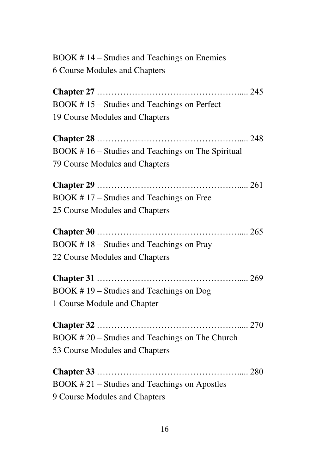| BOOK #14 – Studies and Teachings on Enemies       |
|---------------------------------------------------|
| <b>6 Course Modules and Chapters</b>              |
|                                                   |
| BOOK #15 – Studies and Teachings on Perfect       |
| 19 Course Modules and Chapters                    |
|                                                   |
| BOOK #16 – Studies and Teachings on The Spiritual |
| 79 Course Modules and Chapters                    |
|                                                   |
| BOOK #17 – Studies and Teachings on Free          |
| 25 Course Modules and Chapters                    |
|                                                   |
| BOOK #18 – Studies and Teachings on Pray          |
| 22 Course Modules and Chapters                    |
|                                                   |
| BOOK #19 – Studies and Teachings on Dog           |
| 1 Course Module and Chapter                       |
|                                                   |
| BOOK #20 – Studies and Teachings on The Church    |
| 53 Course Modules and Chapters                    |
|                                                   |
| $BOOK # 21 - Studies and Teachers on Apostles$    |
| 9 Course Modules and Chapters                     |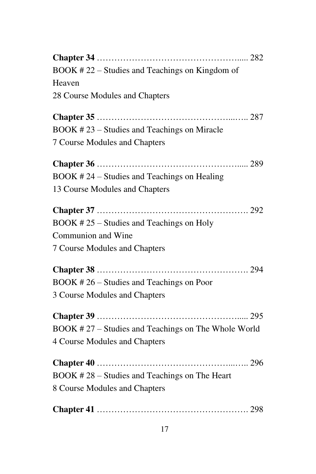| $BOOK # 22 - Studies and Teachers on Kingdom of$    |
|-----------------------------------------------------|
| Heaven                                              |
| 28 Course Modules and Chapters                      |
|                                                     |
| BOOK #23 – Studies and Teachings on Miracle         |
| 7 Course Modules and Chapters                       |
|                                                     |
| $BOOK # 24 - Studies and Teachers on Healing$       |
| 13 Course Modules and Chapters                      |
|                                                     |
| BOOK #25 – Studies and Teachings on Holy            |
| Communion and Wine                                  |
| 7 Course Modules and Chapters                       |
|                                                     |
| BOOK #26 – Studies and Teachings on Poor            |
| 3 Course Modules and Chapters                       |
|                                                     |
| BOOK #27 – Studies and Teachings on The Whole World |
| <b>4 Course Modules and Chapters</b>                |
|                                                     |
| BOOK #28 – Studies and Teachings on The Heart       |
| 8 Course Modules and Chapters                       |
|                                                     |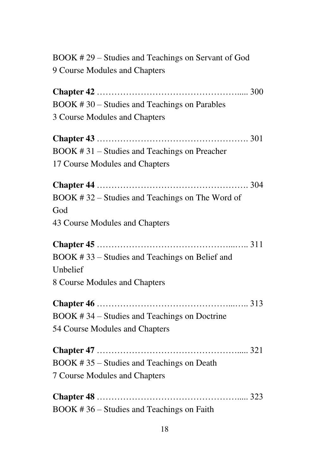| BOOK #29 – Studies and Teachings on Servant of God |
|----------------------------------------------------|
| 9 Course Modules and Chapters                      |
|                                                    |
| BOOK #30 – Studies and Teachings on Parables       |
| 3 Course Modules and Chapters                      |
|                                                    |
| $BOOK # 31 - Studies and Teachers on Pracher$      |
| 17 Course Modules and Chapters                     |
|                                                    |
| BOOK #32 – Studies and Teachings on The Word of    |
| God                                                |
| 43 Course Modules and Chapters                     |
|                                                    |
| BOOK #33 – Studies and Teachings on Belief and     |
| Unbelief                                           |
| 8 Course Modules and Chapters                      |
|                                                    |
| BOOK #34 – Studies and Teachings on Doctrine       |
| 54 Course Modules and Chapters                     |
|                                                    |
| BOOK #35 – Studies and Teachings on Death          |
| 7 Course Modules and Chapters                      |
|                                                    |
| BOOK #36 – Studies and Teachings on Faith          |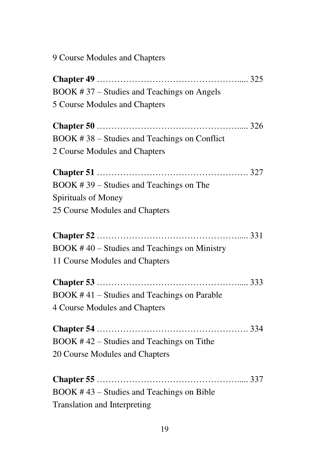9 Course Modules and Chapters

| BOOK #37 – Studies and Teachings on Angels    |
|-----------------------------------------------|
| 5 Course Modules and Chapters                 |
|                                               |
| BOOK #38 – Studies and Teachings on Conflict  |
| 2 Course Modules and Chapters                 |
|                                               |
| BOOK #39 – Studies and Teachings on The       |
| Spirituals of Money                           |
| 25 Course Modules and Chapters                |
|                                               |
| $BOOK #40 - Studies and Teachers on Ministry$ |
|                                               |
| 11 Course Modules and Chapters                |
|                                               |
| BOOK #41 – Studies and Teachings on Parable   |
| <b>4 Course Modules and Chapters</b>          |
|                                               |
| $BOOK # 42 - Studies and Teachers on Title$   |
| 20 Course Modules and Chapters                |
|                                               |
| BOOK #43 – Studies and Teachings on Bible     |
| <b>Translation and Interpreting</b>           |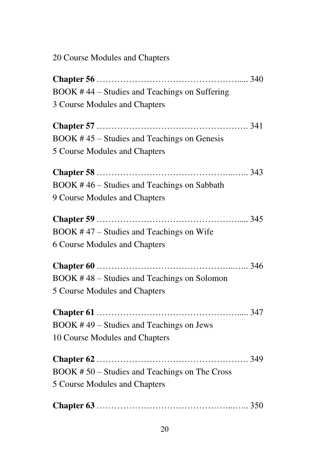20 Course Modules and Chapters

| BOOK #44 – Studies and Teachings on Suffering |
|-----------------------------------------------|
| 3 Course Modules and Chapters                 |
|                                               |
| BOOK #45 – Studies and Teachings on Genesis   |
| 5 Course Modules and Chapters                 |
|                                               |
| BOOK #46 – Studies and Teachings on Sabbath   |
| 9 Course Modules and Chapters                 |
|                                               |
| $BOOK #47 - Studies and Teachers on Wife$     |
| <b>6 Course Modules and Chapters</b>          |
|                                               |
| BOOK #48 – Studies and Teachings on Solomon   |
| 5 Course Modules and Chapters                 |
|                                               |
| BOOK #49 – Studies and Teachings on Jews      |
| 10 Course Modules and Chapters                |
|                                               |
| BOOK #50 – Studies and Teachings on The Cross |
| 5 Course Modules and Chapters                 |
|                                               |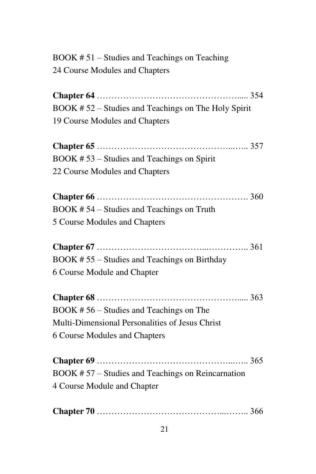| $\overline{BOOK}$ #51 – Studies and Teachings on Teaching |  |
|-----------------------------------------------------------|--|
| 24 Course Modules and Chapters                            |  |

**Chapter 64** …………………………………………..... 354 BOOK # 52 – Studies and Teachings on The Holy Spirit 19 Course Modules and Chapters

| BOOK #53 – Studies and Teachings on Spirit |  |
|--------------------------------------------|--|
| 22 Course Modules and Chapters             |  |

| BOOK #54 – Studies and Teachings on Truth |  |
|-------------------------------------------|--|
| 5 Course Modules and Chapters             |  |

**Chapter 67** ………………………………...………….. 361 BOOK # 55 – Studies and Teachings on Birthday 6 Course Module and Chapter

| $BOOK # 56 - Studies and Teachers on The$       |  |
|-------------------------------------------------|--|
| Multi-Dimensional Personalities of Jesus Christ |  |
| 6 Course Modules and Chapters                   |  |

**Chapter 69** ………………………………………...….. 365 BOOK # 57 – Studies and Teachings on Reincarnation 4 Course Module and Chapter

|--|--|--|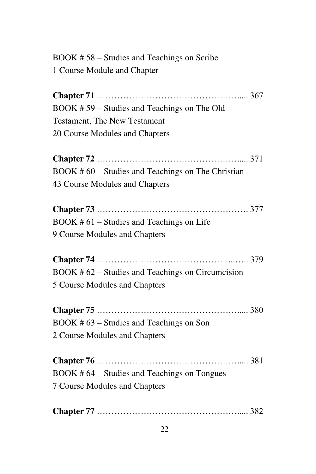BOOK # 58 – Studies and Teachings on Scribe 1 Course Module and Chapter

**Chapter 71** …………………………………………..... 367 BOOK # 59 – Studies and Teachings on The Old Testament, The New Testament 20 Course Modules and Chapters

**Chapter 72** …………………………………………..... 371 BOOK # 60 – Studies and Teachings on The Christian 43 Course Modules and Chapters

**Chapter 73** ……………………………………………. 377 BOOK # 61 – Studies and Teachings on Life 9 Course Modules and Chapters

**Chapter 74** ………………………………………...….. 379 BOOK # 62 – Studies and Teachings on Circumcision 5 Course Modules and Chapters

**Chapter 75** …………………………………………..... 380 BOOK # 63 – Studies and Teachings on Son 2 Course Modules and Chapters

**Chapter 76** …………………………………………..... 381 BOOK # 64 – Studies and Teachings on Tongues 7 Course Modules and Chapters

|--|--|--|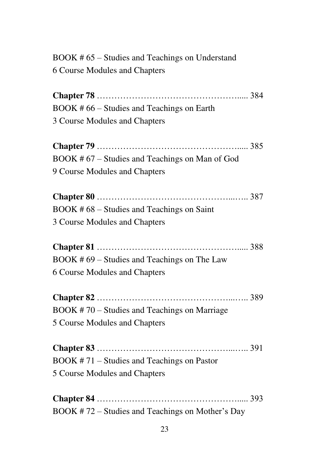| BOOK #65 – Studies and Teachings on Understand   |
|--------------------------------------------------|
| 6 Course Modules and Chapters                    |
|                                                  |
| BOOK #66 – Studies and Teachings on Earth        |
| 3 Course Modules and Chapters                    |
|                                                  |
| BOOK #67 – Studies and Teachings on Man of God   |
| 9 Course Modules and Chapters                    |
|                                                  |
| BOOK #68 – Studies and Teachings on Saint        |
| 3 Course Modules and Chapters                    |
|                                                  |
| BOOK #69 - Studies and Teachings on The Law      |
| <b>6 Course Modules and Chapters</b>             |
|                                                  |
| BOOK #70 – Studies and Teachings on Marriage     |
| 5 Course Modules and Chapters                    |
|                                                  |
| BOOK #71 - Studies and Teachings on Pastor       |
| 5 Course Modules and Chapters                    |
|                                                  |
| BOOK #72 – Studies and Teachings on Mother's Day |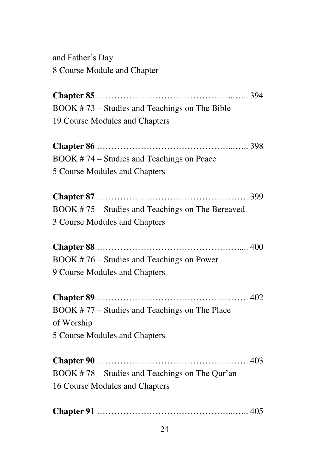and Father's Day 8 Course Module and Chapter

**Chapter 85** ………………………………………...….. 394 BOOK # 73 – Studies and Teachings on The Bible 19 Course Modules and Chapters **Chapter 86** ………………………………………...….. 398 BOOK # 74 – Studies and Teachings on Peace 5 Course Modules and Chapters **Chapter 87** ……………………………………………. 399 BOOK # 75 – Studies and Teachings on The Bereaved 3 Course Modules and Chapters **Chapter 88** …………………………………………..... 400 BOOK # 76 – Studies and Teachings on Power 9 Course Modules and Chapters **Chapter 89** ……………………………………………. 402 BOOK # 77 – Studies and Teachings on The Place of Worship 5 Course Modules and Chapters

**Chapter 90** ……………………………………………. 403 BOOK # 78 – Studies and Teachings on The Qur'an 16 Course Modules and Chapters

**Chapter 91** ………………………………………...….. 405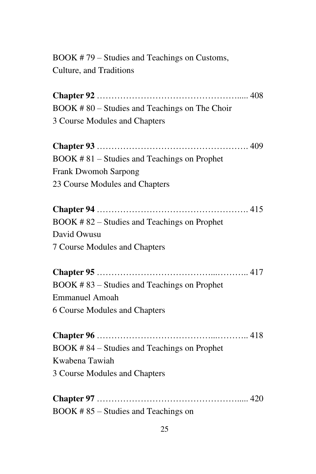BOOK # 79 – Studies and Teachings on Customs, Culture, and Traditions

**Chapter 92** …………………………………………..... 408 BOOK # 80 – Studies and Teachings on The Choir 3 Course Modules and Chapters

**Chapter 93** ……………………………………………. 409 BOOK # 81 – Studies and Teachings on Prophet Frank Dwomoh Sarpong 23 Course Modules and Chapters

**Chapter 94** ……………………………………………. 415 BOOK # 82 – Studies and Teachings on Prophet David Owusu 7 Course Modules and Chapters

**Chapter 95** …………………………………...……….. 417 BOOK # 83 – Studies and Teachings on Prophet Emmanuel Amoah 6 Course Modules and Chapters

**Chapter 96** …………………………………...……….. 418 BOOK # 84 – Studies and Teachings on Prophet Kwabena Tawiah 3 Course Modules and Chapters

**Chapter 97** …………………………………………..... 420 BOOK # 85 – Studies and Teachings on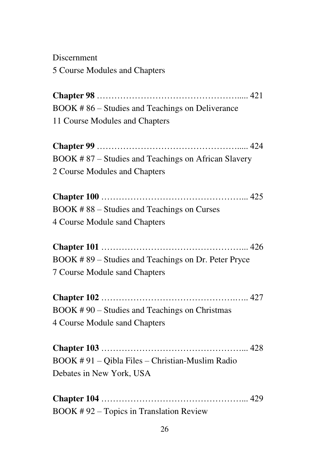Discernment 5 Course Modules and Chapters

**Chapter 98** …………………………………………..... 421 BOOK # 86 – Studies and Teachings on Deliverance 11 Course Modules and Chapters

**Chapter 99** …………………………………………..... 424 BOOK # 87 – Studies and Teachings on African Slavery 2 Course Modules and Chapters

**Chapter 100** …………………………………………... 425 BOOK # 88 – Studies and Teachings on Curses 4 Course Module sand Chapters

**Chapter 101** …………………………………………... 426 BOOK # 89 – Studies and Teachings on Dr. Peter Pryce 7 Course Module sand Chapters

**Chapter 102** ……………………………………….….. 427 BOOK # 90 – Studies and Teachings on Christmas 4 Course Module sand Chapters

**Chapter 103** …………………………………………... 428 BOOK # 91 – Qibla Files – Christian-Muslim Radio Debates in New York, USA

**Chapter 104** …………………………………………... 429 BOOK # 92 – Topics in Translation Review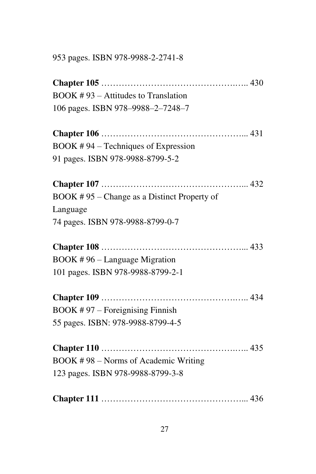953 pages. ISBN 978-9988-2-2741-8

**Chapter 105** ……………………………………….….. 430 BOOK # 93 – Attitudes to Translation 106 pages. ISBN 978–9988–2–7248–7 **Chapter 106** …………………………………………... 431 BOOK # 94 – Techniques of Expression 91 pages. ISBN 978-9988-8799-5-2 **Chapter 107** …………………………………………... 432 BOOK # 95 – Change as a Distinct Property of Language 74 pages. ISBN 978-9988-8799-0-7 **Chapter 108** …………………………………………... 433 BOOK # 96 – Language Migration 101 pages. ISBN 978-9988-8799-2-1 **Chapter 109** ……………………………………….….. 434 BOOK # 97 – Foreignising Finnish 55 pages. ISBN: 978-9988-8799-4-5 **Chapter 110** ……………………………………….….. 435 BOOK # 98 – Norms of Academic Writing 123 pages. ISBN 978-9988-8799-3-8 **Chapter 111** …………………………………………... 436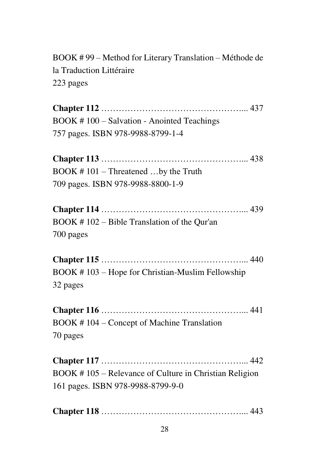BOOK # 99 – Method for Literary Translation – Méthode de la Traduction Littéraire 223 pages

**Chapter 112** …………………………………………... 437 BOOK # 100 – Salvation - Anointed Teachings 757 pages. ISBN 978-9988-8799-1-4 **Chapter 113** …………………………………………... 438 BOOK # 101 – Threatened …by the Truth 709 pages. ISBN 978-9988-8800-1-9 **Chapter 114** …………………………………………... 439 BOOK # 102 – Bible Translation of the Qur'an 700 pages **Chapter 115** …………………………………………... 440 BOOK # 103 – Hope for Christian-Muslim Fellowship 32 pages **Chapter 116** …………………………………………... 441 BOOK # 104 – Concept of Machine Translation 70 pages **Chapter 117** …………………………………………... 442

BOOK # 105 – Relevance of Culture in Christian Religion 161 pages. ISBN 978-9988-8799-9-0

|--|--|--|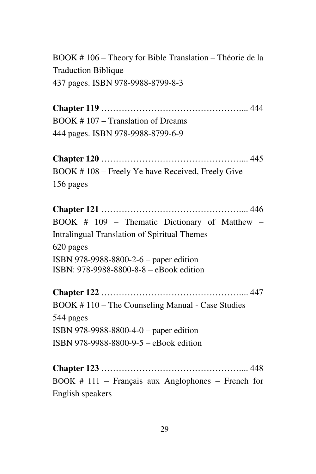BOOK # 106 – Theory for Bible Translation – Théorie de la Traduction Biblique 437 pages. ISBN 978-9988-8799-8-3

**Chapter 119** …………………………………………... 444 BOOK # 107 – Translation of Dreams 444 pages. ISBN 978-9988-8799-6-9

**Chapter 120** …………………………………………... 445 BOOK # 108 – Freely Ye have Received, Freely Give 156 pages

**Chapter 121** …………………………………………... 446 BOOK # 109 – Thematic Dictionary of Matthew – Intralingual Translation of Spiritual Themes 620 pages ISBN 978-9988-8800-2-6 – paper edition ISBN: 978-9988-8800-8-8 – eBook edition

**Chapter 122** …………………………………………... 447 BOOK # 110 – The Counseling Manual - Case Studies 544 pages ISBN 978-9988-8800-4-0 – paper edition ISBN 978-9988-8800-9-5 – eBook edition

**Chapter 123** …………………………………………... 448 BOOK # 111 – Français aux Anglophones – French for English speakers